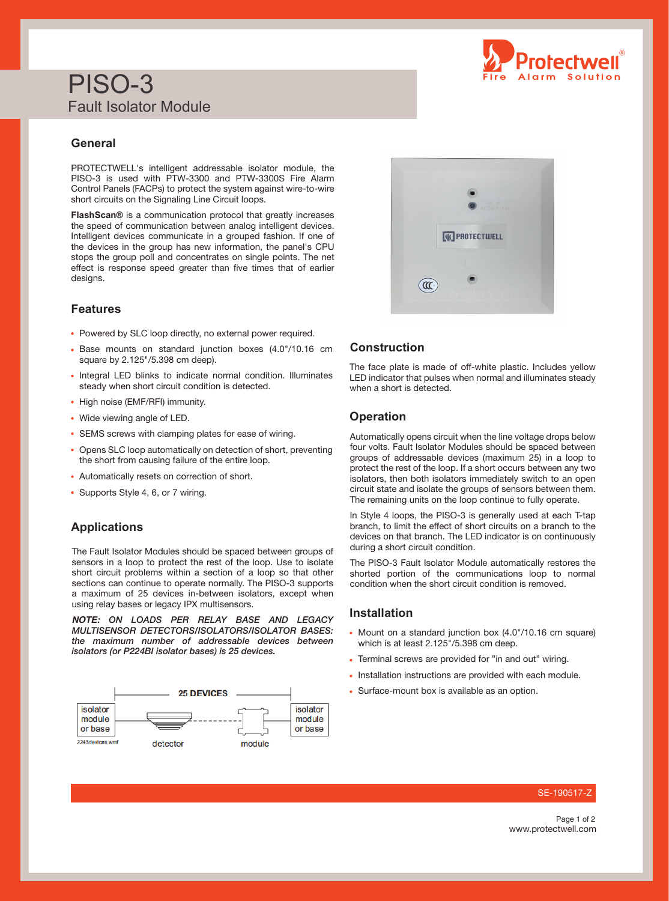# PISO-3 Fault Isolator Module

## **General**

PROTECTWELL's intelligent addressable isolator module, the PISO-3 is used with PTW-3300 and PTW-3300S Fire Alarm Control Panels (FACPs) to protect the system against wire-to-wire short circuits on the Signaling Line Circuit loops.

**FlashScan®** is a communication protocol that greatly increases the speed of communication between analog intelligent devices. Intelligent devices communicate in a grouped fashion. If one of the devices in the group has new information, the panel's CPU stops the group poll and concentrates on single points. The net effect is response speed greater than five times that of earlier designs.

## **Features**

- Powered by SLC loop directly, no external power required.
- Base mounts on standard junction boxes (4.0"/10.16 cm square by 2.125"/5.398 cm deep).
- Integral LED blinks to indicate normal condition. Illuminates steady when short circuit condition is detected.
- High noise (EMF/RFI) immunity.
- Wide viewing angle of LED.
- SEMS screws with clamping plates for ease of wiring.
- Opens SLC loop automatically on detection of short, preventing the short from causing failure of the entire loop.
- Automatically resets on correction of short.
- Supports Style 4, 6, or 7 wiring.

### **Applications**

The Fault Isolator Modules should be spaced between groups of sensors in a loop to protect the rest of the loop. Use to isolate short circuit problems within a section of a loop so that other sections can continue to operate normally. The PISO-3 supports a maximum of 25 devices in-between isolators, except when using relay bases or legacy IPX multisensors.

*NOTE: ON LOADS PER RELAY BASE AND LEGACY MULTISENSOR DETECTORS/ISOLATORS/ISOLATOR BASES: the maximum number of addressable devices between isolators (or P224BI isolator bases) is 25 devices.*





## **Construction**

The face plate is made of off-white plastic. Includes yellow LED indicator that pulses when normal and illuminates steady when a short is detected.

## **Operation**

Automatically opens circuit when the line voltage drops below four volts. Fault Isolator Modules should be spaced between groups of addressable devices (maximum 25) in a loop to protect the rest of the loop. If a short occurs between any two isolators, then both isolators immediately switch to an open circuit state and isolate the groups of sensors between them. The remaining units on the loop continue to fully operate.

In Style 4 loops, the PISO-3 is generally used at each T-tap branch, to limit the effect of short circuits on a branch to the devices on that branch. The LED indicator is on continuously during a short circuit condition.

The PISO-3 Fault Isolator Module automatically restores the shorted portion of the communications loop to normal condition when the short circuit condition is removed.

## **Installation**

- Mount on a standard junction box (4.0"/10.16 cm square) which is at least 2.125"/5.398 cm deep.
- Terminal screws are provided for "in and out" wiring.
- Installation instructions are provided with each module.
- Surface-mount box is available as an option.

#### SE-190517

www.protectwell.com Page 1 of 2